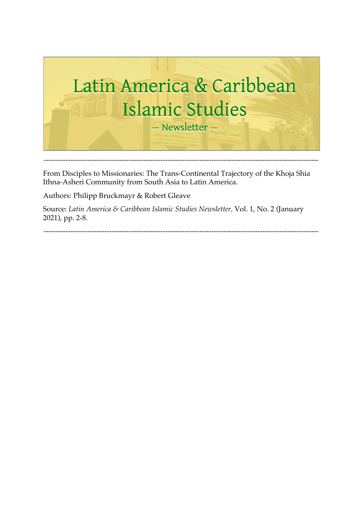

From Disciples to Missionaries: The Trans-Continental Trajectory of the Khoja Shia Ithna-Asheri Community from South Asia to Latin America.

Authors: Philipp Bruckmayr & Robert Gleave

Source: *Latin America & Caribbean Islamic Studies Newsletter,* Vol. 1, No. 2 (January 2021), pp. 2-8.

-----------------------------------------------------------------------------------------------------------------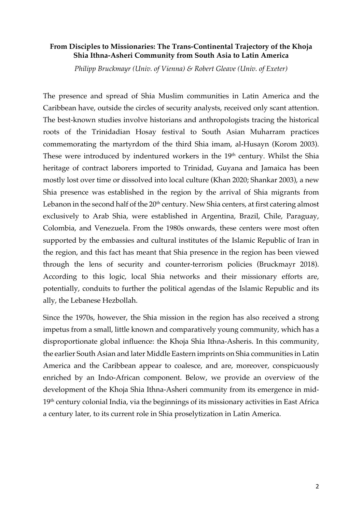### **From Disciples to Missionaries: The Trans-Continental Trajectory of the Khoja Shia Ithna-Asheri Community from South Asia to Latin America**

*Philipp Bruckmayr (Univ. of Vienna) & Robert Gleave (Univ. of Exeter)*

The presence and spread of Shia Muslim communities in Latin America and the Caribbean have, outside the circles of security analysts, received only scant attention. The best-known studies involve historians and anthropologists tracing the historical roots of the Trinidadian Hosay festival to South Asian Muharram practices commemorating the martyrdom of the third Shia imam, al-Husayn (Korom 2003). These were introduced by indentured workers in the 19<sup>th</sup> century. Whilst the Shia heritage of contract laborers imported to Trinidad, Guyana and Jamaica has been mostly lost over time or dissolved into local culture (Khan 2020; Shankar 2003), a new Shia presence was established in the region by the arrival of Shia migrants from Lebanon in the second half of the  $20<sup>th</sup>$  century. New Shia centers, at first catering almost exclusively to Arab Shia, were established in Argentina, Brazil, Chile, Paraguay, Colombia, and Venezuela. From the 1980s onwards, these centers were most often supported by the embassies and cultural institutes of the Islamic Republic of Iran in the region, and this fact has meant that Shia presence in the region has been viewed through the lens of security and counter-terrorism policies (Bruckmayr 2018). According to this logic, local Shia networks and their missionary efforts are, potentially, conduits to further the political agendas of the Islamic Republic and its ally, the Lebanese Hezbollah.

Since the 1970s, however, the Shia mission in the region has also received a strong impetus from a small, little known and comparatively young community, which has a disproportionate global influence: the Khoja Shia Ithna-Asheris. In this community, the earlier South Asian and later Middle Eastern imprints on Shia communities in Latin America and the Caribbean appear to coalesce, and are, moreover, conspicuously enriched by an Indo-African component. Below, we provide an overview of the development of the Khoja Shia Ithna-Asheri community from its emergence in mid- $19<sup>th</sup>$  century colonial India, via the beginnings of its missionary activities in East Africa a century later, to its current role in Shia proselytization in Latin America.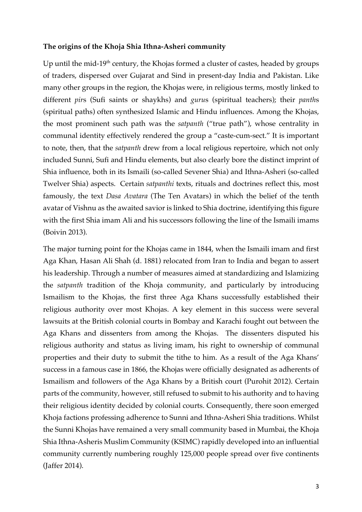### **The origins of the Khoja Shia Ithna-Asheri community**

Up until the mid-19<sup>th</sup> century, the Khojas formed a cluster of castes, headed by groups of traders, dispersed over Gujarat and Sind in present-day India and Pakistan. Like many other groups in the region, the Khojas were, in religious terms, mostly linked to different *pir*s (Sufi saints or shaykhs) and *guru*s (spiritual teachers); their *panth*s (spiritual paths) often synthesized Islamic and Hindu influences. Among the Khojas, the most prominent such path was the *satpanth* ("true path"), whose centrality in communal identity effectively rendered the group a "caste-cum-sect." It is important to note, then, that the *satpanth* drew from a local religious repertoire, which not only included Sunni, Sufi and Hindu elements, but also clearly bore the distinct imprint of Shia influence, both in its Ismaili (so-called Sevener Shia) and Ithna-Asheri (so-called Twelver Shia) aspects. Certain *satpanthi* texts, rituals and doctrines reflect this, most famously, the text *Dasa Avatara* (The Ten Avatars) in which the belief of the tenth avatar of Vishnu as the awaited savior is linked to Shia doctrine, identifying this figure with the first Shia imam Ali and his successors following the line of the Ismaili imams (Boivin 2013).

The major turning point for the Khojas came in 1844, when the Ismaili imam and first Aga Khan, Hasan Ali Shah (d. 1881) relocated from Iran to India and began to assert his leadership. Through a number of measures aimed at standardizing and Islamizing the *satpanth* tradition of the Khoja community, and particularly by introducing Ismailism to the Khojas, the first three Aga Khans successfully established their religious authority over most Khojas. A key element in this success were several lawsuits at the British colonial courts in Bombay and Karachi fought out between the Aga Khans and dissenters from among the Khojas. The dissenters disputed his religious authority and status as living imam, his right to ownership of communal properties and their duty to submit the tithe to him. As a result of the Aga Khans' success in a famous case in 1866, the Khojas were officially designated as adherents of Ismailism and followers of the Aga Khans by a British court (Purohit 2012). Certain parts of the community, however, still refused to submit to his authority and to having their religious identity decided by colonial courts. Consequently, there soon emerged Khoja factions professing adherence to Sunni and Ithna-Asheri Shia traditions. Whilst the Sunni Khojas have remained a very small community based in Mumbai, the Khoja Shia Ithna-Asheris Muslim Community (KSIMC) rapidly developed into an influential community currently numbering roughly 125,000 people spread over five continents (Jaffer 2014).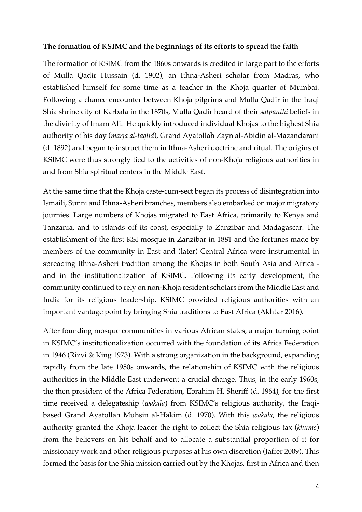### **The formation of KSIMC and the beginnings of its efforts to spread the faith**

The formation of KSIMC from the 1860s onwards is credited in large part to the efforts of Mulla Qadir Hussain (d. 1902), an Ithna-Asheri scholar from Madras, who established himself for some time as a teacher in the Khoja quarter of Mumbai. Following a chance encounter between Khoja pilgrims and Mulla Qadir in the Iraqi Shia shrine city of Karbala in the 1870s, Mulla Qadir heard of their *satpanthi* beliefs in the divinity of Imam Ali. He quickly introduced individual Khojas to the highest Shia authority of his day (*marja al-taqlid*), Grand Ayatollah Zayn al-Abidin al-Mazandarani (d. 1892) and began to instruct them in Ithna-Asheri doctrine and ritual. The origins of KSIMC were thus strongly tied to the activities of non-Khoja religious authorities in and from Shia spiritual centers in the Middle East.

At the same time that the Khoja caste-cum-sect began its process of disintegration into Ismaili, Sunni and Ithna-Asheri branches, members also embarked on major migratory journies. Large numbers of Khojas migrated to East Africa, primarily to Kenya and Tanzania, and to islands off its coast, especially to Zanzibar and Madagascar. The establishment of the first KSI mosque in Zanzibar in 1881 and the fortunes made by members of the community in East and (later) Central Africa were instrumental in spreading Ithna-Asheri tradition among the Khojas in both South Asia and Africa and in the institutionalization of KSIMC. Following its early development, the community continued to rely on non-Khoja resident scholars from the Middle East and India for its religious leadership. KSIMC provided religious authorities with an important vantage point by bringing Shia traditions to East Africa (Akhtar 2016).

After founding mosque communities in various African states, a major turning point in KSIMC's institutionalization occurred with the foundation of its Africa Federation in 1946 (Rizvi & King 1973). With a strong organization in the background, expanding rapidly from the late 1950s onwards, the relationship of KSIMC with the religious authorities in the Middle East underwent a crucial change. Thus, in the early 1960s, the then president of the Africa Federation, Ebrahim H. Sheriff (d. 1964), for the first time received a delegateship (*wakala*) from KSIMC's religious authority, the Iraqibased Grand Ayatollah Muhsin al-Hakim (d. 1970). With this *wakala*, the religious authority granted the Khoja leader the right to collect the Shia religious tax (*khums*) from the believers on his behalf and to allocate a substantial proportion of it for missionary work and other religious purposes at his own discretion (Jaffer 2009). This formed the basis for the Shia mission carried out by the Khojas, first in Africa and then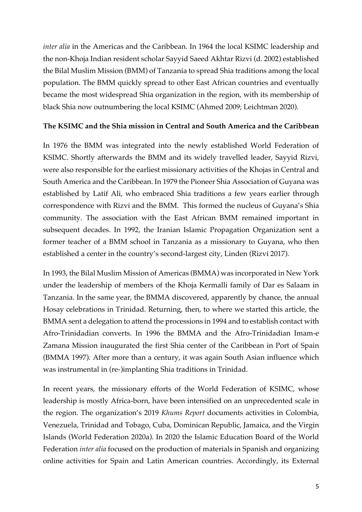*inter alia* in the Americas and the Caribbean. In 1964 the local KSIMC leadership and the non-Khoja Indian resident scholar Sayyid Saeed Akhtar Rizvi (d. 2002) established the Bilal Muslim Mission (BMM) of Tanzania to spread Shia traditions among the local population. The BMM quickly spread to other East African countries and eventually became the most widespread Shia organization in the region, with its membership of black Shia now outnumbering the local KSIMC (Ahmed 2009; Leichtman 2020).

# **The KSIMC and the Shia mission in Central and South America and the Caribbean**

In 1976 the BMM was integrated into the newly established World Federation of KSIMC. Shortly afterwards the BMM and its widely travelled leader, Sayyid Rizvi, were also responsible for the earliest missionary activities of the Khojas in Central and South America and the Caribbean. In 1979 the Pioneer Shia Association of Guyana was established by Latif Ali, who embraced Shia traditions a few years earlier through correspondence with Rizvi and the BMM. This formed the nucleus of Guyana's Shia community. The association with the East African BMM remained important in subsequent decades. In 1992, the Iranian Islamic Propagation Organization sent a former teacher of a BMM school in Tanzania as a missionary to Guyana, who then established a center in the country's second-largest city, Linden (Rizvi 2017).

In 1993, the Bilal Muslim Mission of Americas (BMMA) was incorporated in New York under the leadership of members of the Khoja Kermalli family of Dar es Salaam in Tanzania. In the same year, the BMMA discovered, apparently by chance, the annual Hosay celebrations in Trinidad. Returning, then, to where we started this article, the BMMA sent a delegation to attend the processions in 1994 and to establish contact with Afro-Trinidadian converts. In 1996 the BMMA and the Afro-Trinidadian Imam-e Zamana Mission inaugurated the first Shia center of the Caribbean in Port of Spain (BMMA 1997). After more than a century, it was again South Asian influence which was instrumental in (re-)implanting Shia traditions in Trinidad.

In recent years, the missionary efforts of the World Federation of KSIMC, whose leadership is mostly Africa-born, have been intensified on an unprecedented scale in the region. The organization's 2019 *Khums Report* documents activities in Colombia, Venezuela, Trinidad and Tobago, Cuba, Dominican Republic, Jamaica, and the Virgin Islands (World Federation 2020a). In 2020 the Islamic Education Board of the World Federation *inter alia* focused on the production of materials in Spanish and organizing online activities for Spain and Latin American countries. Accordingly, its External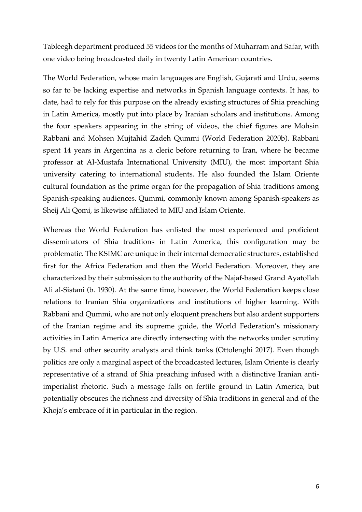Tableegh department produced 55 videos for the months of Muharram and Safar, with one video being broadcasted daily in twenty Latin American countries.

The World Federation, whose main languages are English, Gujarati and Urdu, seems so far to be lacking expertise and networks in Spanish language contexts. It has, to date, had to rely for this purpose on the already existing structures of Shia preaching in Latin America, mostly put into place by Iranian scholars and institutions. Among the four speakers appearing in the string of videos, the chief figures are Mohsin Rabbani and Mohsen Mujtahid Zadeh Qummi (World Federation 2020b). Rabbani spent 14 years in Argentina as a cleric before returning to Iran, where he became professor at Al-Mustafa International University (MIU), the most important Shia university catering to international students. He also founded the Islam Oriente cultural foundation as the prime organ for the propagation of Shia traditions among Spanish-speaking audiences. Qummi, commonly known among Spanish-speakers as Sheij Ali Qomi, is likewise affiliated to MIU and Islam Oriente.

Whereas the World Federation has enlisted the most experienced and proficient disseminators of Shia traditions in Latin America, this configuration may be problematic. The KSIMC are unique in their internal democratic structures, established first for the Africa Federation and then the World Federation. Moreover, they are characterized by their submission to the authority of the Najaf-based Grand Ayatollah Ali al-Sistani (b. 1930). At the same time, however, the World Federation keeps close relations to Iranian Shia organizations and institutions of higher learning. With Rabbani and Qummi, who are not only eloquent preachers but also ardent supporters of the Iranian regime and its supreme guide, the World Federation's missionary activities in Latin America are directly intersecting with the networks under scrutiny by U.S. and other security analysts and think tanks (Ottolenghi 2017). Even though politics are only a marginal aspect of the broadcasted lectures, Islam Oriente is clearly representative of a strand of Shia preaching infused with a distinctive Iranian antiimperialist rhetoric. Such a message falls on fertile ground in Latin America, but potentially obscures the richness and diversity of Shia traditions in general and of the Khoja's embrace of it in particular in the region.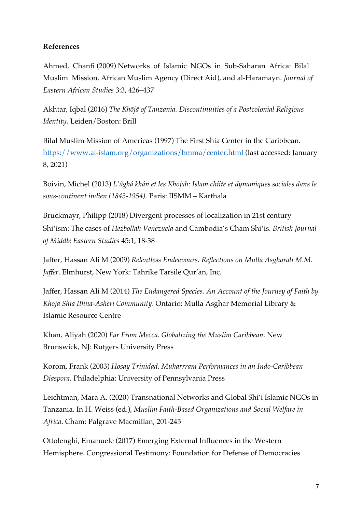# **References**

Ahmed, Chanfi (2009) Networks of Islamic NGOs in Sub-Saharan Africa: Bilal Muslim Mission, African Muslim Agency (Direct Aid), and al-Haramayn. *Journal of Eastern African Studies* 3:3, 426–437

Akhtar, Iqbal (2016) *The Khōjā of Tanzania. Discontinuities of a Postcolonial Religious Identity.* Leiden/Boston: Brill

Bilal Muslim Mission of Americas (1997) The First Shia Center in the Caribbean. https://www.al-islam.org/organizations/bmma/center.html (last accessed: January 8, 2021)

Boivin, Michel (2013) *L'âghâ khân et les Khojah: Islam chiite et dynamiques sociales dans le sous-continent indien (1843-1954).* Paris: IISMM – Karthala

Bruckmayr, Philipp (2018) Divergent processes of localization in 21st century Shiʽism: The cases of *Hezbollah Venezuela* and Cambodia's Cham Shiʽis. *British Journal of Middle Eastern Studies* 45:1, 18-38

Jaffer, Hassan Ali M (2009) *Relentless Endeavours. Reflections on Mulla Asgharali M.M. Jaffer*. Elmhurst, New York: Tahrike Tarsile Qur'an, Inc.

Jaffer, Hassan Ali M (2014) *The Endangered Species. An Account of the Journey of Faith by Khoja Shia Ithna-Asheri Community*. Ontario: Mulla Asghar Memorial Library & Islamic Resource Centre

Khan, Aliyah (2020) *Far From Mecca. Globalizing the Muslim Caribbean*. New Brunswick, NJ: Rutgers University Press

Korom, Frank (2003) *Hosay Trinidad. Muharrram Performances in an Indo-Caribbean Diaspora*. Philadelphia: University of Pennsylvania Press

Leichtman, Mara A. (2020) Transnational Networks and Global Shi'i Islamic NGOs in Tanzania. In H. Weiss (ed.), *Muslim Faith-Based Organizations and Social Welfare in Africa*. Cham: Palgrave Macmillan, 201-245

Ottolenghi, Emanuele (2017) Emerging External Influences in the Western Hemisphere. Congressional Testimony: Foundation for Defense of Democracies